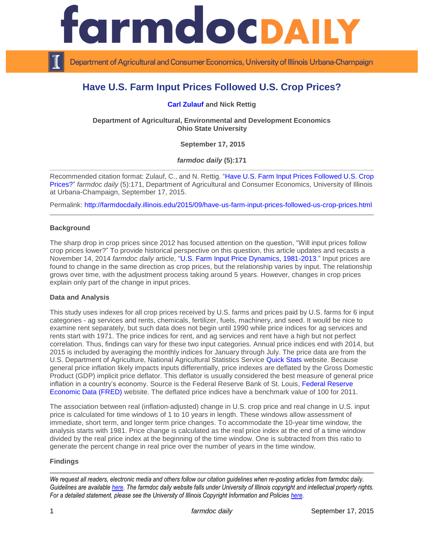

Department of Agricultural and Consumer Economics, University of Illinois Urbana-Champaign

# **Have U.S. Farm Input Prices Followed U.S. Crop Prices?**

**[Carl Zulauf](http://aede.osu.edu/our-people/carl-zulauf) and Nick Rettig**

**Department of Agricultural, Environmental and Development Economics Ohio State University** 

**September 17, 2015**

*farmdoc daily* **(5):171**

Recommended citation format: Zulauf, C., and N. Rettig. ["Have U.S. Farm Input Prices Followed](http://farmdocdaily.illinois.edu/2015/09/have-us-farm-input-prices-followed-us-crop-prices.html) U.S. Crop [Prices?"](http://farmdocdaily.illinois.edu/2015/09/have-us-farm-input-prices-followed-us-crop-prices.html) *farmdoc daily* (5):171, Department of Agricultural and Consumer Economics, University of Illinois at Urbana-Champaign, September 17, 2015.

Permalink: <http://farmdocdaily.illinois.edu/2015/09/have-us-farm-input-prices-followed-us-crop-prices.html>

## **Background**

The sharp drop in crop prices since 2012 has focused attention on the question, "Will input prices follow crop prices lower?" To provide historical perspective on this question, this article updates and recasts a November 14, 2014 *farmdoc daily* article, ["U.S. Farm Input Price Dynamics, 1981-2013.](http://farmdocdaily.illinois.edu/2014/11/us-farm-input-price-dynamics-1981-2013.html)" Input prices are found to change in the same direction as crop prices, but the relationship varies by input. The relationship grows over time, with the adjustment process taking around 5 years. However, changes in crop prices explain only part of the change in input prices.

#### **Data and Analysis**

This study uses indexes for all crop prices received by U.S. farms and prices paid by U.S. farms for 6 input categories - ag services and rents, chemicals, fertilizer, fuels, machinery, and seed. It would be nice to examine rent separately, but such data does not begin until 1990 while price indices for ag services and rents start with 1971. The price indices for rent, and ag services and rent have a high but not perfect correlation. Thus, findings can vary for these two input categories. Annual price indices end with 2014, but 2015 is included by averaging the monthly indices for January through July. The price data are from the U.S. Department of Agriculture, National Agricultural Statistics Service [Quick Stats](http://www.nass.usda.gov/Quick_Stats/) website. Because general price inflation likely impacts inputs differentially, price indexes are deflated by the Gross Domestic Product (GDP) implicit price deflator. This deflator is usually considered the best measure of general price inflation in a country's economy. Source is the Federal Reserve Bank of St. Louis, [Federal Reserve](https://research.stlouisfed.org/fred2/series/GDPDEF/)  [Economic Data](https://research.stlouisfed.org/fred2/series/GDPDEF/) (FRED) website. The deflated price indices have a benchmark value of 100 for 2011.

The association between real (inflation-adjusted) change in U.S. crop price and real change in U.S. input price is calculated for time windows of 1 to 10 years in length. These windows allow assessment of immediate, short term, and longer term price changes. To accommodate the 10-year time window, the analysis starts with 1981. Price change is calculated as the real price index at the end of a time window divided by the real price index at the beginning of the time window. One is subtracted from this ratio to generate the percent change in real price over the number of years in the time window.

## **Findings**

*We request all readers, electronic media and others follow our citation guidelines when re-posting articles from farmdoc daily. Guidelines are available [here.](http://farmdocdaily.illinois.edu/citationguide.html) The farmdoc daily website falls under University of Illinois copyright and intellectual property rights. For a detailed statement, please see the University of Illinois Copyright Information and Policies [here.](http://www.cio.illinois.edu/policies/copyright/)*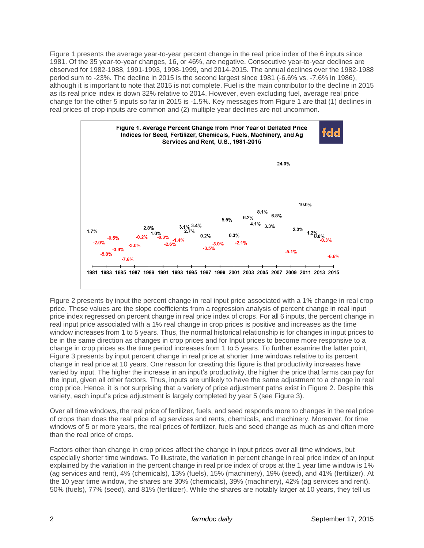Figure 1 presents the average year-to-year percent change in the real price index of the 6 inputs since 1981. Of the 35 year-to-year changes, 16, or 46%, are negative. Consecutive year-to-year declines are observed for 1982-1988, 1991-1993, 1998-1999, and 2014-2015. The annual declines over the 1982-1988 period sum to -23%. The decline in 2015 is the second largest since 1981 (-6.6% vs. -7.6% in 1986), although it is important to note that 2015 is not complete. Fuel is the main contributor to the decline in 2015 as its real price index is down 32% relative to 2014. However, even excluding fuel, average real price change for the other 5 inputs so far in 2015 is -1.5%. Key messages from Figure 1 are that (1) declines in real prices of crop inputs are common and (2) multiple year declines are not uncommon.



Figure 2 presents by input the percent change in real input price associated with a 1% change in real crop price. These values are the slope coefficients from a regression analysis of percent change in real input price index regressed on percent change in real price index of crops. For all 6 inputs, the percent change in real input price associated with a 1% real change in crop prices is positive and increases as the time window increases from 1 to 5 years. Thus, the normal historical relationship is for changes in input prices to be in the same direction as changes in crop prices and for Input prices to become more responsive to a change in crop prices as the time period increases from 1 to 5 years. To further examine the latter point, Figure 3 presents by input percent change in real price at shorter time windows relative to its percent change in real price at 10 years. One reason for creating this figure is that productivity increases have varied by input. The higher the increase in an input's productivity, the higher the price that farms can pay for the input, given all other factors. Thus, inputs are unlikely to have the same adjustment to a change in real crop price. Hence, it is not surprising that a variety of price adjustment paths exist in Figure 2. Despite this variety, each input's price adjustment is largely completed by year 5 (see Figure 3).

Over all time windows, the real price of fertilizer, fuels, and seed responds more to changes in the real price of crops than does the real price of ag services and rents, chemicals, and machinery. Moreover, for time windows of 5 or more years, the real prices of fertilizer, fuels and seed change as much as and often more than the real price of crops.

Factors other than change in crop prices affect the change in input prices over all time windows, but especially shorter time windows. To illustrate, the variation in percent change in real price index of an input explained by the variation in the percent change in real price index of crops at the 1 year time window is 1% (ag services and rent), 4% (chemicals), 13% (fuels), 15% (machinery), 19% (seed), and 41% (fertilizer). At the 10 year time window, the shares are 30% (chemicals), 39% (machinery), 42% (ag services and rent), 50% (fuels), 77% (seed), and 81% (fertilizer). While the shares are notably larger at 10 years, they tell us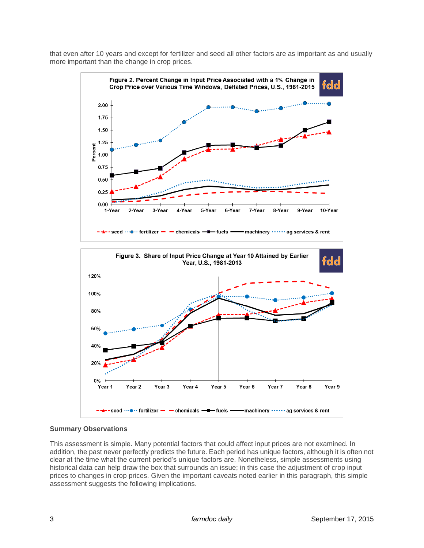that even after 10 years and except for fertilizer and seed all other factors are as important as and usually more important than the change in crop prices.



## **Summary Observations**

This assessment is simple. Many potential factors that could affect input prices are not examined. In addition, the past never perfectly predicts the future. Each period has unique factors, although it is often not clear at the time what the current period's unique factors are. Nonetheless, simple assessments using historical data can help draw the box that surrounds an issue; in this case the adjustment of crop input prices to changes in crop prices. Given the important caveats noted earlier in this paragraph, this simple assessment suggests the following implications.